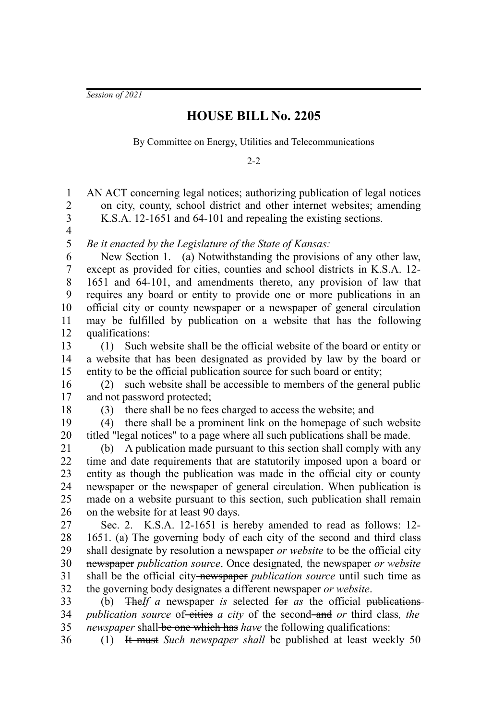*Session of 2021*

## **HOUSE BILL No. 2205**

By Committee on Energy, Utilities and Telecommunications

 $2 - 2$ 

AN ACT concerning legal notices; authorizing publication of legal notices on city, county, school district and other internet websites; amending K.S.A. 12-1651 and 64-101 and repealing the existing sections. *Be it enacted by the Legislature of the State of Kansas:* New Section 1. (a) Notwithstanding the provisions of any other law, except as provided for cities, counties and school districts in K.S.A. 12- 1651 and 64-101, and amendments thereto, any provision of law that requires any board or entity to provide one or more publications in an official city or county newspaper or a newspaper of general circulation may be fulfilled by publication on a website that has the following qualifications: (1) Such website shall be the official website of the board or entity or a website that has been designated as provided by law by the board or entity to be the official publication source for such board or entity; (2) such website shall be accessible to members of the general public and not password protected; (3) there shall be no fees charged to access the website; and (4) there shall be a prominent link on the homepage of such website titled "legal notices" to a page where all such publications shall be made. (b) A publication made pursuant to this section shall comply with any time and date requirements that are statutorily imposed upon a board or entity as though the publication was made in the official city or county newspaper or the newspaper of general circulation. When publication is made on a website pursuant to this section, such publication shall remain on the website for at least 90 days. Sec. 2. K.S.A. 12-1651 is hereby amended to read as follows: 12- 1651. (a) The governing body of each city of the second and third class shall designate by resolution a newspaper *or website* to be the official city newspaper *publication source*. Once designated*,* the newspaper *or website* shall be the official city newspaper *publication source* until such time as the governing body designates a different newspaper *or website*. (b) The*If a* newspaper *is* selected for *as* the official publications *publication source* of-cities *a city* of the second-and *or* third class, the *newspaper* shall be one which has *have* the following qualifications: (1) It must *Such newspaper shall* be published at least weekly 50 1 2 3 4 5 6 7 8 9 10 11 12 13 14 15 16 17 18 19 20 21 22 23 24 25 26 27 28 29 30 31 32 33 34 35 36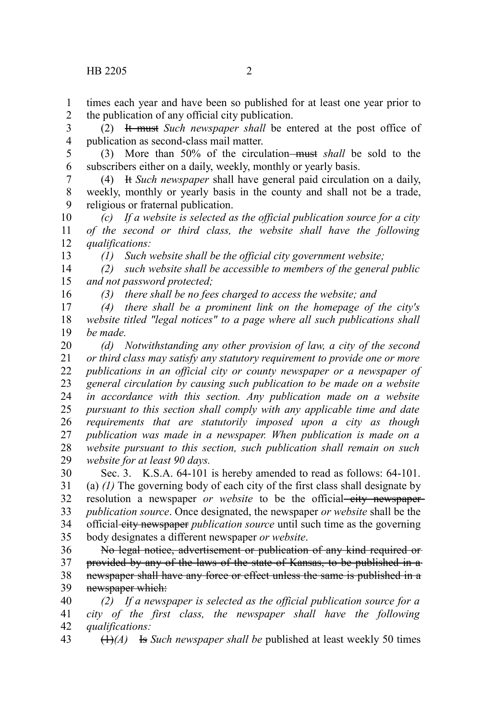times each year and have been so published for at least one year prior to the publication of any official city publication. 1 2

(2) It must *Such newspaper shall* be entered at the post office of publication as second-class mail matter. 3 4

(3) More than 50% of the circulation must *shall* be sold to the subscribers either on a daily, weekly, monthly or yearly basis. 5 6

(4) It *Such newspaper* shall have general paid circulation on a daily, weekly, monthly or yearly basis in the county and shall not be a trade, religious or fraternal publication. 7 8 9

*(c) If a website is selected as the official publication source for a city of the second or third class, the website shall have the following qualifications:* 10 11 12

*(1) Such website shall be the official city government website;*

*(2) such website shall be accessible to members of the general public and not password protected;* 14 15

16

13

*(3) there shall be no fees charged to access the website; and*

*(4) there shall be a prominent link on the homepage of the city's website titled "legal notices" to a page where all such publications shall be made.* 17 18 19

*(d) Notwithstanding any other provision of law, a city of the second or third class may satisfy any statutory requirement to provide one or more publications in an official city or county newspaper or a newspaper of general circulation by causing such publication to be made on a website in accordance with this section. Any publication made on a website pursuant to this section shall comply with any applicable time and date requirements that are statutorily imposed upon a city as though publication was made in a newspaper. When publication is made on a website pursuant to this section, such publication shall remain on such website for at least 90 days.* 20 21 22 23 24 25 26 27 28 29

Sec. 3. K.S.A. 64-101 is hereby amended to read as follows: 64-101. (a) *(1)* The governing body of each city of the first class shall designate by resolution a newspaper *or website* to be the official city newspaper*publication source*. Once designated, the newspaper *or website* shall be the official city newspaper *publication source* until such time as the governing body designates a different newspaper *or website*. 30 31 32 33 34 35

No legal notice, advertisement or publication of any kind required or provided by any of the laws of the state of Kansas, to be published in a newspaper shall have any force or effect unless the same is published in a newspaper which: 36 37 38 39

*(2) If a newspaper is selected as the official publication source for a city of the first class, the newspaper shall have the following qualifications:* 40 41 42

(1)*(A)* Is *Such newspaper shall be* published at least weekly 50 times 43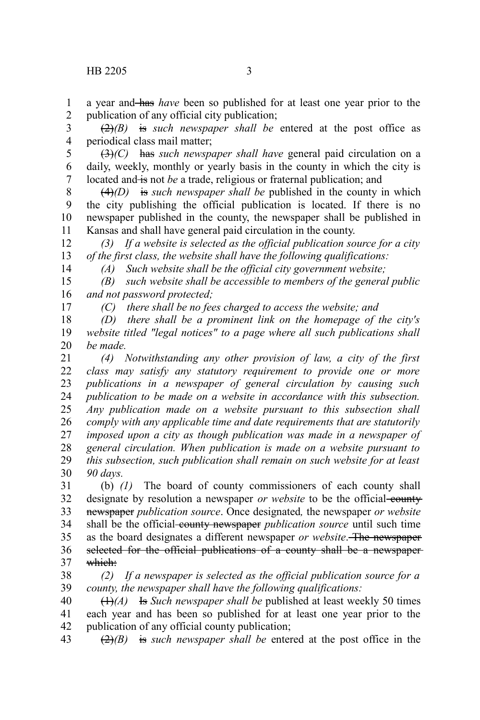a year and has *have* been so published for at least one year prior to the publication of any official city publication; 1 2

(2)*(B)* is *such newspaper shall be* entered at the post office as periodical class mail matter; 3 4

(3)*(C)* has *such newspaper shall have* general paid circulation on a daily, weekly, monthly or yearly basis in the county in which the city is located and is not be a trade, religious or fraternal publication; and 5 6 7

(4)*(D)* is *such newspaper shall be* published in the county in which the city publishing the official publication is located. If there is no newspaper published in the county, the newspaper shall be published in Kansas and shall have general paid circulation in the county. 8 9 10 11

*(3) If a website is selected as the official publication source for a city of the first class, the website shall have the following qualifications:* 12 13

14

*(A) Such website shall be the official city government website;*

*(B) such website shall be accessible to members of the general public and not password protected;* 15 16 17

*(C) there shall be no fees charged to access the website; and*

*(D) there shall be a prominent link on the homepage of the city's website titled "legal notices" to a page where all such publications shall be made.* 18 19 20

*(4) Notwithstanding any other provision of law, a city of the first class may satisfy any statutory requirement to provide one or more publications in a newspaper of general circulation by causing such publication to be made on a website in accordance with this subsection. Any publication made on a website pursuant to this subsection shall comply with any applicable time and date requirements that are statutorily imposed upon a city as though publication was made in a newspaper of general circulation. When publication is made on a website pursuant to this subsection, such publication shall remain on such website for at least 90 days.* 21 22 23 24 25 26 27 28 29 30

(b) *(1)* The board of county commissioners of each county shall designate by resolution a newspaper *or website* to be the official county newspaper *publication source*. Once designated*,* the newspaper *or website* shall be the official-county newspaper *publication source* until such time as the board designates a different newspaper *or website*. The newspaper selected for the official publications of a county shall be a newspaperwhich: 31 32 33 34 35 36 37

*(2) If a newspaper is selected as the official publication source for a county, the newspaper shall have the following qualifications:* 38 39

(1)*(A)* Is *Such newspaper shall be* published at least weekly 50 times each year and has been so published for at least one year prior to the publication of any official county publication; 40 41 42

(2)*(B)* is *such newspaper shall be* entered at the post office in the 43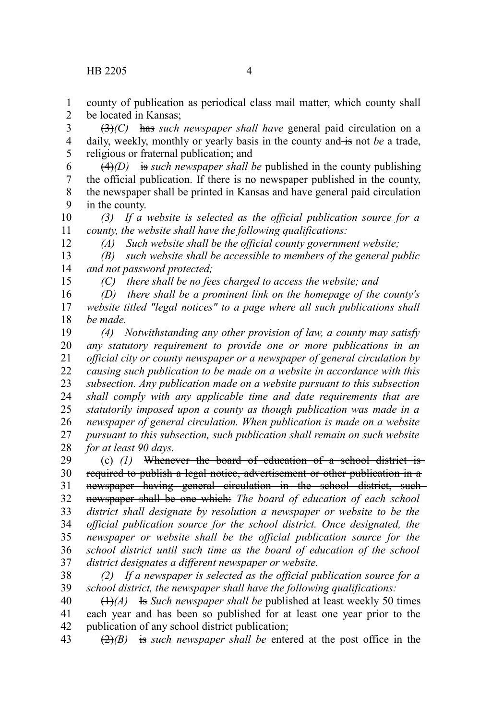15

county of publication as periodical class mail matter, which county shall be located in Kansas; 1 2

(3)*(C)* has *such newspaper shall have* general paid circulation on a daily, weekly, monthly or yearly basis in the county and is not be a trade, religious or fraternal publication; and 3 4 5

(4)*(D)* is *such newspaper shall be* published in the county publishing the official publication. If there is no newspaper published in the county, the newspaper shall be printed in Kansas and have general paid circulation in the county. 6 7 8 9

*(3) If a website is selected as the official publication source for a county, the website shall have the following qualifications:* 10 11 12

*(A) Such website shall be the official county government website;*

*(B) such website shall be accessible to members of the general public and not password protected;* 13 14

*(C) there shall be no fees charged to access the website; and*

*(D) there shall be a prominent link on the homepage of the county's website titled "legal notices" to a page where all such publications shall be made.* 16 17 18

*(4) Notwithstanding any other provision of law, a county may satisfy any statutory requirement to provide one or more publications in an official city or county newspaper or a newspaper of general circulation by causing such publication to be made on a website in accordance with this subsection. Any publication made on a website pursuant to this subsection shall comply with any applicable time and date requirements that are statutorily imposed upon a county as though publication was made in a newspaper of general circulation. When publication is made on a website pursuant to this subsection, such publication shall remain on such website for at least 90 days.* 19 20 21 22 23 24 25 26 27 28

(c) *(1)* Whenever the board of education of a school district is required to publish a legal notice, advertisement or other publication in a newspaper having general circulation in the school district, such newspaper shall be one which: *The board of education of each school district shall designate by resolution a newspaper or website to be the official publication source for the school district. Once designated, the newspaper or website shall be the official publication source for the school district until such time as the board of education of the school district designates a different newspaper or website.* 29 30 31 32 33 34 35 36 37

*(2) If a newspaper is selected as the official publication source for a school district, the newspaper shall have the following qualifications:* 38 39

(1)*(A)* Is *Such newspaper shall be* published at least weekly 50 times each year and has been so published for at least one year prior to the publication of any school district publication; 40 41 42

(2)*(B)* is *such newspaper shall be* entered at the post office in the 43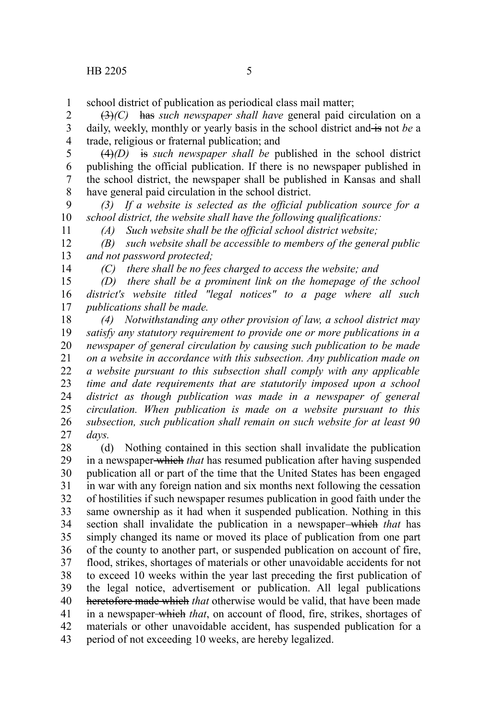school district of publication as periodical class mail matter; 1

(3)*(C)* has *such newspaper shall have* general paid circulation on a daily, weekly, monthly or yearly basis in the school district and is not be a trade, religious or fraternal publication; and 2 3 4

(4)*(D)* is *such newspaper shall be* published in the school district publishing the official publication. If there is no newspaper published in the school district, the newspaper shall be published in Kansas and shall have general paid circulation in the school district. 5 6 7 8

*(3) If a website is selected as the official publication source for a school district, the website shall have the following qualifications:* 9 10

*(A) Such website shall be the official school district website;*

*(B) such website shall be accessible to members of the general public and not password protected;* 12 13

14

11

*(C) there shall be no fees charged to access the website; and*

*(D) there shall be a prominent link on the homepage of the school district's website titled "legal notices" to a page where all such publications shall be made.* 15 16 17

*(4) Notwithstanding any other provision of law, a school district may satisfy any statutory requirement to provide one or more publications in a newspaper of general circulation by causing such publication to be made on a website in accordance with this subsection. Any publication made on a website pursuant to this subsection shall comply with any applicable time and date requirements that are statutorily imposed upon a school district as though publication was made in a newspaper of general circulation. When publication is made on a website pursuant to this subsection, such publication shall remain on such website for at least 90 days.* 18 19 20 21 22 23 24 25 26 27

(d) Nothing contained in this section shall invalidate the publication in a newspaper which *that* has resumed publication after having suspended publication all or part of the time that the United States has been engaged in war with any foreign nation and six months next following the cessation of hostilities if such newspaper resumes publication in good faith under the same ownership as it had when it suspended publication. Nothing in this section shall invalidate the publication in a newspaper-which that has simply changed its name or moved its place of publication from one part of the county to another part, or suspended publication on account of fire, flood, strikes, shortages of materials or other unavoidable accidents for not to exceed 10 weeks within the year last preceding the first publication of the legal notice, advertisement or publication. All legal publications heretofore made which *that* otherwise would be valid, that have been made in a newspaper which *that*, on account of flood, fire, strikes, shortages of materials or other unavoidable accident, has suspended publication for a period of not exceeding 10 weeks, are hereby legalized. 28 29 30 31 32 33 34 35 36 37 38 39 40 41 42 43